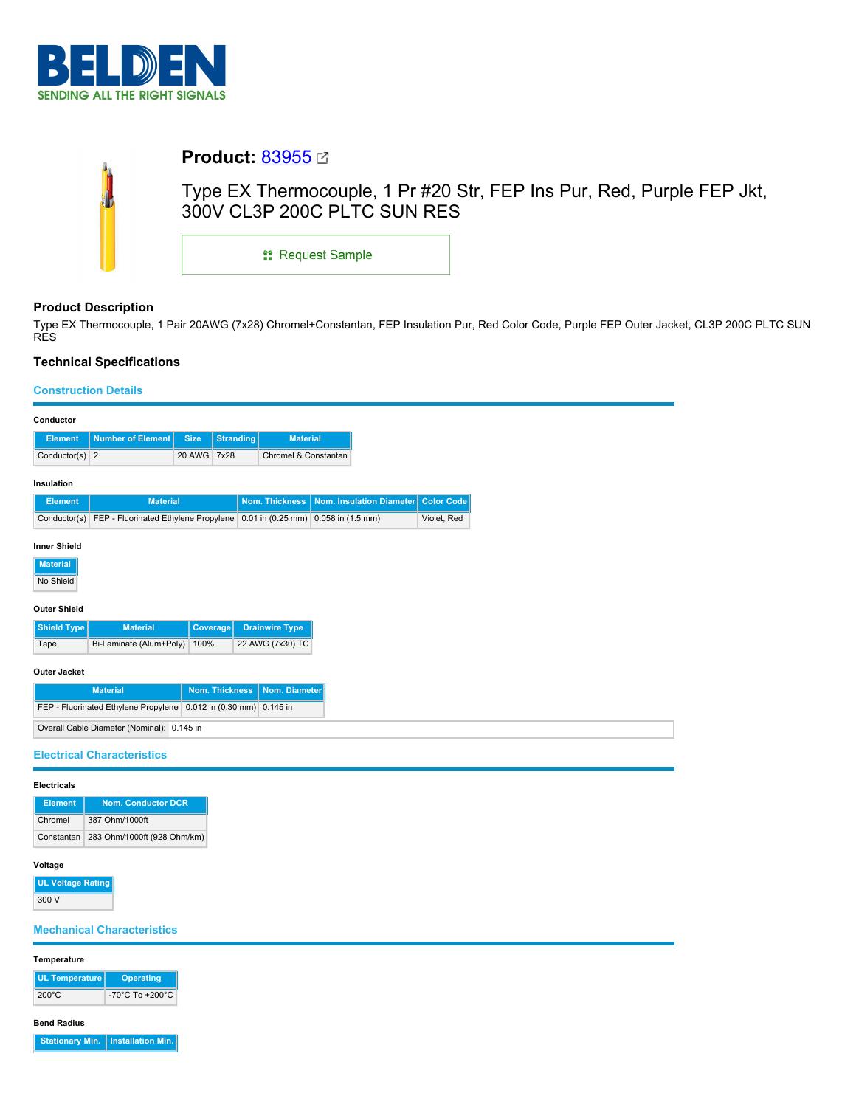

| <b>Product: 83955 ⊠</b>                                                                              |  |  |  |  |  |  |
|------------------------------------------------------------------------------------------------------|--|--|--|--|--|--|
| Type EX Thermocouple, 1 Pr #20 Str, FEP Ins Pur, Red, Purple FEP Jkt,<br>300V CL3P 200C PLTC SUN RES |  |  |  |  |  |  |
| <b>: Request Sample</b>                                                                              |  |  |  |  |  |  |
|                                                                                                      |  |  |  |  |  |  |

# **Product Description**

Type EX Thermocouple, 1 Pair 20AWG (7x28) Chromel+Constantan, FEP Insulation Pur, Red Color Code, Purple FEP Outer Jacket, CL3P 200C PLTC SUN RES

# **Technical Specifications**

## **Construction Details**

| Conductor                                                        |                                                                          |                 |                       |                       |  |                          |             |
|------------------------------------------------------------------|--------------------------------------------------------------------------|-----------------|-----------------------|-----------------------|--|--------------------------|-------------|
| <b>Element</b>                                                   | <b>Number of Element</b>                                                 | <b>Size</b>     | Stranding             | <b>Material</b>       |  |                          |             |
| Conductor(s) $2$                                                 |                                                                          | 20 AWG 7x28     |                       | Chromel & Constantan  |  |                          |             |
| Insulation                                                       |                                                                          |                 |                       |                       |  |                          |             |
| <b>Element</b>                                                   | <b>Material</b>                                                          |                 |                       | <b>Nom. Thickness</b> |  | Nom. Insulation Diameter | Color Code  |
| Conductor(s)                                                     | FEP - Fluorinated Ethylene Propylene 0.01 in (0.25 mm) 0.058 in (1.5 mm) |                 |                       |                       |  |                          | Violet, Red |
| <b>Material</b><br>No Shield<br><b>Outer Shield</b>              |                                                                          |                 |                       |                       |  |                          |             |
| Shield Type                                                      | <b>Material</b>                                                          | <b>Coverage</b> |                       | <b>Drainwire Type</b> |  |                          |             |
| Tape                                                             | Bi-Laminate (Alum+Poly)                                                  | 100%            |                       | 22 AWG (7x30) TC      |  |                          |             |
| <b>Outer Jacket</b>                                              |                                                                          |                 |                       |                       |  |                          |             |
|                                                                  | <b>Material</b>                                                          |                 | <b>Nom. Thickness</b> | Nom. Diameter         |  |                          |             |
| FEP - Fluorinated Ethylene Propylene 0.012 in (0.30 mm) 0.145 in |                                                                          |                 |                       |                       |  |                          |             |
| Overall Cable Diameter (Nominal): 0.145 in                       |                                                                          |                 |                       |                       |  |                          |             |
| <b>Electrical Characteristics</b>                                |                                                                          |                 |                       |                       |  |                          |             |

| <b>Electricals</b> |                                        |  |  |  |
|--------------------|----------------------------------------|--|--|--|
| <b>Element</b>     | Nom. Conductor DCR                     |  |  |  |
| Chromel            | 387 Ohm/1000ft                         |  |  |  |
|                    | Constantan 283 Ohm/1000ft (928 Ohm/km) |  |  |  |

# **Voltage**

**UL Voltage Rating** 300 V

# **Mechanical Characteristics**

# **Temperature**

| UL Temperature  | <b>Operating</b>                    |
|-----------------|-------------------------------------|
| $200^{\circ}$ C | $-70^{\circ}$ C To $+200^{\circ}$ C |

**Bend Radius**

**Stationary Min.** | Installation Min.